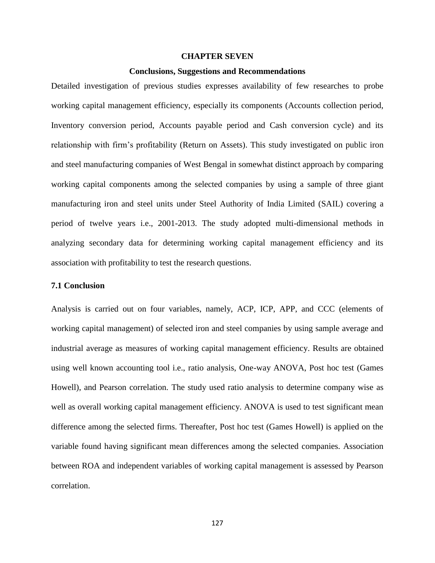## **CHAPTER SEVEN**

#### **Conclusions, Suggestions and Recommendations**

Detailed investigation of previous studies expresses availability of few researches to probe working capital management efficiency, especially its components (Accounts collection period, Inventory conversion period, Accounts payable period and Cash conversion cycle) and its relationship with firm's profitability (Return on Assets). This study investigated on public iron and steel manufacturing companies of West Bengal in somewhat distinct approach by comparing working capital components among the selected companies by using a sample of three giant manufacturing iron and steel units under Steel Authority of India Limited (SAIL) covering a period of twelve years i.e., 2001-2013. The study adopted multi-dimensional methods in analyzing secondary data for determining working capital management efficiency and its association with profitability to test the research questions.

# **7.1 Conclusion**

Analysis is carried out on four variables, namely, ACP, ICP, APP, and CCC (elements of working capital management) of selected iron and steel companies by using sample average and industrial average as measures of working capital management efficiency. Results are obtained using well known accounting tool i.e., ratio analysis, One-way ANOVA, Post hoc test (Games Howell), and Pearson correlation. The study used ratio analysis to determine company wise as well as overall working capital management efficiency. ANOVA is used to test significant mean difference among the selected firms. Thereafter, Post hoc test (Games Howell) is applied on the variable found having significant mean differences among the selected companies. Association between ROA and independent variables of working capital management is assessed by Pearson correlation.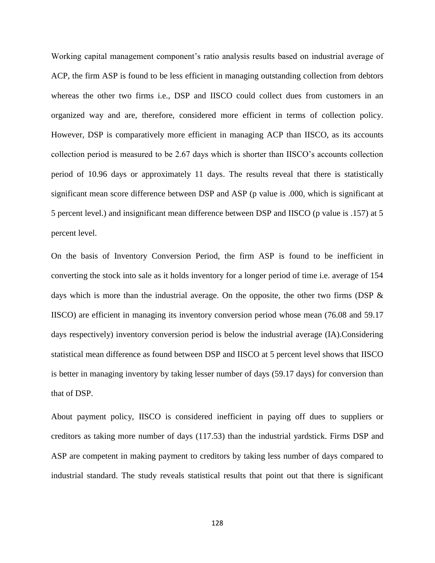Working capital management component's ratio analysis results based on industrial average of ACP, the firm ASP is found to be less efficient in managing outstanding collection from debtors whereas the other two firms i.e., DSP and IISCO could collect dues from customers in an organized way and are, therefore, considered more efficient in terms of collection policy. However, DSP is comparatively more efficient in managing ACP than IISCO, as its accounts collection period is measured to be 2.67 days which is shorter than IISCO's accounts collection period of 10.96 days or approximately 11 days. The results reveal that there is statistically significant mean score difference between DSP and ASP (p value is .000, which is significant at 5 percent level.) and insignificant mean difference between DSP and IISCO (p value is .157) at 5 percent level.

On the basis of Inventory Conversion Period, the firm ASP is found to be inefficient in converting the stock into sale as it holds inventory for a longer period of time i.e. average of 154 days which is more than the industrial average. On the opposite, the other two firms (DSP  $\&$ IISCO) are efficient in managing its inventory conversion period whose mean (76.08 and 59.17 days respectively) inventory conversion period is below the industrial average (IA).Considering statistical mean difference as found between DSP and IISCO at 5 percent level shows that IISCO is better in managing inventory by taking lesser number of days (59.17 days) for conversion than that of DSP.

About payment policy, IISCO is considered inefficient in paying off dues to suppliers or creditors as taking more number of days (117.53) than the industrial yardstick. Firms DSP and ASP are competent in making payment to creditors by taking less number of days compared to industrial standard. The study reveals statistical results that point out that there is significant

128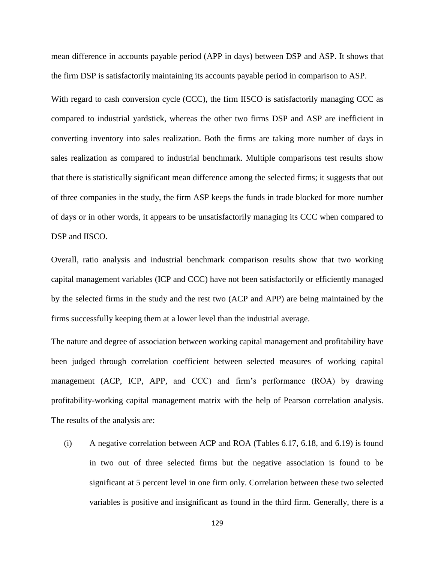mean difference in accounts payable period (APP in days) between DSP and ASP. It shows that the firm DSP is satisfactorily maintaining its accounts payable period in comparison to ASP.

With regard to cash conversion cycle (CCC), the firm IISCO is satisfactorily managing CCC as compared to industrial yardstick, whereas the other two firms DSP and ASP are inefficient in converting inventory into sales realization. Both the firms are taking more number of days in sales realization as compared to industrial benchmark. Multiple comparisons test results show that there is statistically significant mean difference among the selected firms; it suggests that out of three companies in the study, the firm ASP keeps the funds in trade blocked for more number of days or in other words, it appears to be unsatisfactorily managing its CCC when compared to DSP and IISCO.

Overall, ratio analysis and industrial benchmark comparison results show that two working capital management variables (ICP and CCC) have not been satisfactorily or efficiently managed by the selected firms in the study and the rest two (ACP and APP) are being maintained by the firms successfully keeping them at a lower level than the industrial average.

The nature and degree of association between working capital management and profitability have been judged through correlation coefficient between selected measures of working capital management (ACP, ICP, APP, and CCC) and firm's performance (ROA) by drawing profitability-working capital management matrix with the help of Pearson correlation analysis. The results of the analysis are:

(i) A negative correlation between ACP and ROA (Tables 6.17, 6.18, and 6.19) is found in two out of three selected firms but the negative association is found to be significant at 5 percent level in one firm only. Correlation between these two selected variables is positive and insignificant as found in the third firm. Generally, there is a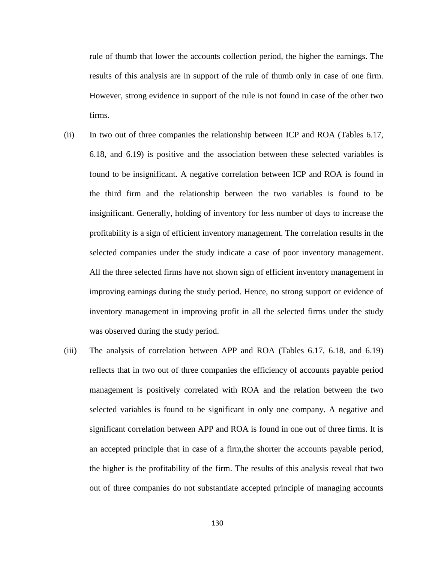rule of thumb that lower the accounts collection period, the higher the earnings. The results of this analysis are in support of the rule of thumb only in case of one firm. However, strong evidence in support of the rule is not found in case of the other two firms.

- (ii) In two out of three companies the relationship between ICP and ROA (Tables 6.17, 6.18, and 6.19) is positive and the association between these selected variables is found to be insignificant. A negative correlation between ICP and ROA is found in the third firm and the relationship between the two variables is found to be insignificant. Generally, holding of inventory for less number of days to increase the profitability is a sign of efficient inventory management. The correlation results in the selected companies under the study indicate a case of poor inventory management. All the three selected firms have not shown sign of efficient inventory management in improving earnings during the study period. Hence, no strong support or evidence of inventory management in improving profit in all the selected firms under the study was observed during the study period.
- (iii) The analysis of correlation between APP and ROA (Tables 6.17, 6.18, and 6.19) reflects that in two out of three companies the efficiency of accounts payable period management is positively correlated with ROA and the relation between the two selected variables is found to be significant in only one company. A negative and significant correlation between APP and ROA is found in one out of three firms. It is an accepted principle that in case of a firm,the shorter the accounts payable period, the higher is the profitability of the firm. The results of this analysis reveal that two out of three companies do not substantiate accepted principle of managing accounts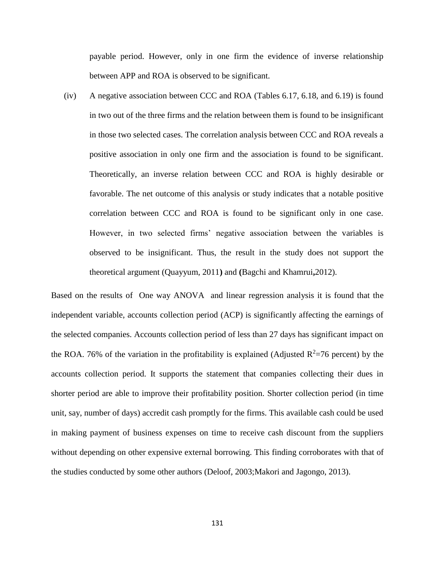payable period. However, only in one firm the evidence of inverse relationship between APP and ROA is observed to be significant.

(iv) A negative association between CCC and ROA (Tables 6.17, 6.18, and 6.19) is found in two out of the three firms and the relation between them is found to be insignificant in those two selected cases. The correlation analysis between CCC and ROA reveals a positive association in only one firm and the association is found to be significant. Theoretically, an inverse relation between CCC and ROA is highly desirable or favorable. The net outcome of this analysis or study indicates that a notable positive correlation between CCC and ROA is found to be significant only in one case. However, in two selected firms' negative association between the variables is observed to be insignificant. Thus, the result in the study does not support the theoretical argument (Quayyum, 2011**)** and **(**Bagchi and Khamrui**,**2012).

Based on the results of One way ANOVA and linear regression analysis it is found that the independent variable, accounts collection period (ACP) is significantly affecting the earnings of the selected companies. Accounts collection period of less than 27 days has significant impact on the ROA. 76% of the variation in the profitability is explained (Adjusted  $R^2=76$  percent) by the accounts collection period. It supports the statement that companies collecting their dues in shorter period are able to improve their profitability position. Shorter collection period (in time unit, say, number of days) accredit cash promptly for the firms. This available cash could be used in making payment of business expenses on time to receive cash discount from the suppliers without depending on other expensive external borrowing. This finding corroborates with that of the studies conducted by some other authors (Deloof, 2003;Makori and Jagongo, 2013).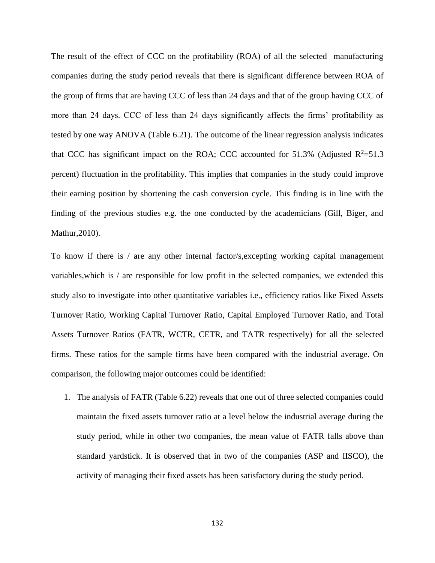The result of the effect of CCC on the profitability (ROA) of all the selected manufacturing companies during the study period reveals that there is significant difference between ROA of the group of firms that are having CCC of less than 24 days and that of the group having CCC of more than 24 days. CCC of less than 24 days significantly affects the firms' profitability as tested by one way ANOVA (Table 6.21). The outcome of the linear regression analysis indicates that CCC has significant impact on the ROA; CCC accounted for 51.3% (Adjusted  $R^2$ =51.3 percent) fluctuation in the profitability. This implies that companies in the study could improve their earning position by shortening the cash conversion cycle. This finding is in line with the finding of the previous studies e.g. the one conducted by the academicians (Gill, Biger, and Mathur,2010).

To know if there is / are any other internal factor/s, excepting working capital management variables,which is / are responsible for low profit in the selected companies, we extended this study also to investigate into other quantitative variables i.e., efficiency ratios like Fixed Assets Turnover Ratio, Working Capital Turnover Ratio, Capital Employed Turnover Ratio, and Total Assets Turnover Ratios (FATR, WCTR, CETR, and TATR respectively) for all the selected firms. These ratios for the sample firms have been compared with the industrial average. On comparison, the following major outcomes could be identified:

1. The analysis of FATR (Table 6.22) reveals that one out of three selected companies could maintain the fixed assets turnover ratio at a level below the industrial average during the study period, while in other two companies, the mean value of FATR falls above than standard yardstick. It is observed that in two of the companies (ASP and IISCO), the activity of managing their fixed assets has been satisfactory during the study period.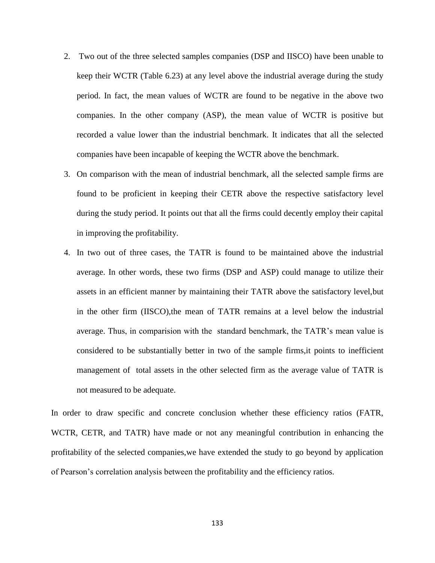- 2. Two out of the three selected samples companies (DSP and IISCO) have been unable to keep their WCTR (Table 6.23) at any level above the industrial average during the study period. In fact, the mean values of WCTR are found to be negative in the above two companies. In the other company (ASP), the mean value of WCTR is positive but recorded a value lower than the industrial benchmark. It indicates that all the selected companies have been incapable of keeping the WCTR above the benchmark.
- 3. On comparison with the mean of industrial benchmark, all the selected sample firms are found to be proficient in keeping their CETR above the respective satisfactory level during the study period. It points out that all the firms could decently employ their capital in improving the profitability.
- 4. In two out of three cases, the TATR is found to be maintained above the industrial average. In other words, these two firms (DSP and ASP) could manage to utilize their assets in an efficient manner by maintaining their TATR above the satisfactory level,but in the other firm (IISCO),the mean of TATR remains at a level below the industrial average. Thus, in comparision with the standard benchmark, the TATR's mean value is considered to be substantially better in two of the sample firms,it points to inefficient management of total assets in the other selected firm as the average value of TATR is not measured to be adequate.

In order to draw specific and concrete conclusion whether these efficiency ratios (FATR, WCTR, CETR, and TATR) have made or not any meaningful contribution in enhancing the profitability of the selected companies,we have extended the study to go beyond by application of Pearson's correlation analysis between the profitability and the efficiency ratios.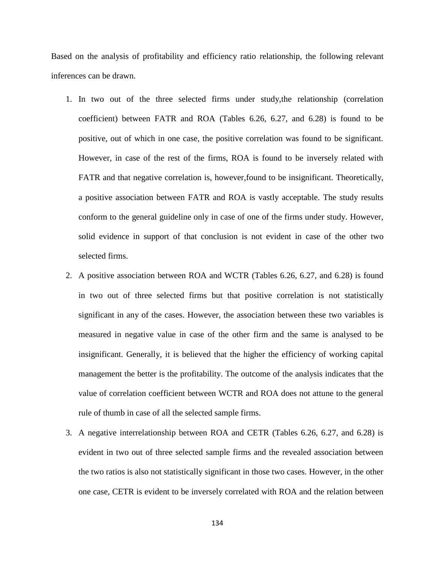Based on the analysis of profitability and efficiency ratio relationship, the following relevant inferences can be drawn.

- 1. In two out of the three selected firms under study,the relationship (correlation coefficient) between FATR and ROA (Tables 6.26, 6.27, and 6.28) is found to be positive, out of which in one case, the positive correlation was found to be significant. However, in case of the rest of the firms, ROA is found to be inversely related with FATR and that negative correlation is, however,found to be insignificant. Theoretically, a positive association between FATR and ROA is vastly acceptable. The study results conform to the general guideline only in case of one of the firms under study. However, solid evidence in support of that conclusion is not evident in case of the other two selected firms.
- 2. A positive association between ROA and WCTR (Tables 6.26, 6.27, and 6.28) is found in two out of three selected firms but that positive correlation is not statistically significant in any of the cases. However, the association between these two variables is measured in negative value in case of the other firm and the same is analysed to be insignificant. Generally, it is believed that the higher the efficiency of working capital management the better is the profitability. The outcome of the analysis indicates that the value of correlation coefficient between WCTR and ROA does not attune to the general rule of thumb in case of all the selected sample firms.
- 3. A negative interrelationship between ROA and CETR (Tables 6.26, 6.27, and 6.28) is evident in two out of three selected sample firms and the revealed association between the two ratios is also not statistically significant in those two cases. However, in the other one case, CETR is evident to be inversely correlated with ROA and the relation between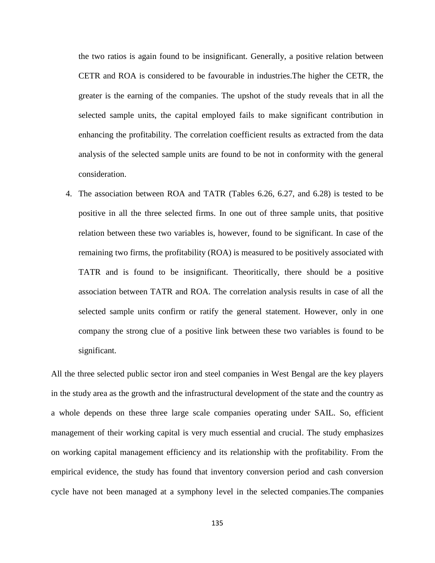the two ratios is again found to be insignificant. Generally, a positive relation between CETR and ROA is considered to be favourable in industries.The higher the CETR, the greater is the earning of the companies. The upshot of the study reveals that in all the selected sample units, the capital employed fails to make significant contribution in enhancing the profitability. The correlation coefficient results as extracted from the data analysis of the selected sample units are found to be not in conformity with the general consideration.

4. The association between ROA and TATR (Tables 6.26, 6.27, and 6.28) is tested to be positive in all the three selected firms. In one out of three sample units, that positive relation between these two variables is, however, found to be significant. In case of the remaining two firms, the profitability (ROA) is measured to be positively associated with TATR and is found to be insignificant. Theoritically, there should be a positive association between TATR and ROA. The correlation analysis results in case of all the selected sample units confirm or ratify the general statement. However, only in one company the strong clue of a positive link between these two variables is found to be significant.

All the three selected public sector iron and steel companies in West Bengal are the key players in the study area as the growth and the infrastructural development of the state and the country as a whole depends on these three large scale companies operating under SAIL. So, efficient management of their working capital is very much essential and crucial. The study emphasizes on working capital management efficiency and its relationship with the profitability. From the empirical evidence, the study has found that inventory conversion period and cash conversion cycle have not been managed at a symphony level in the selected companies.The companies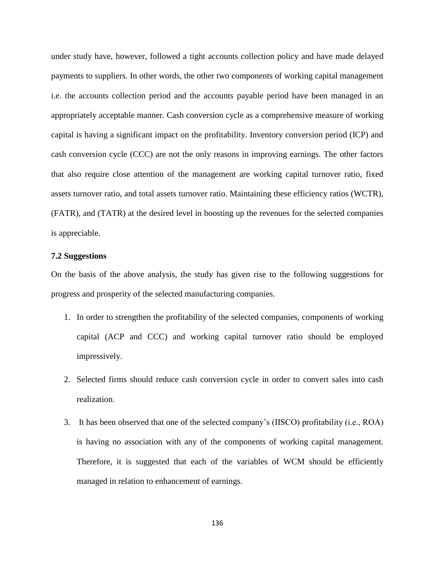under study have, however, followed a tight accounts collection policy and have made delayed payments to suppliers. In other words, the other two components of working capital management i.e. the accounts collection period and the accounts payable period have been managed in an appropriately acceptable manner. Cash conversion cycle as a comprehensive measure of working capital is having a significant impact on the profitability. Inventory conversion period (ICP) and cash conversion cycle (CCC) are not the only reasons in improving earnings. The other factors that also require close attention of the management are working capital turnover ratio, fixed assets turnover ratio, and total assets turnover ratio. Maintaining these efficiency ratios (WCTR), (FATR), and (TATR) at the desired level in boosting up the revenues for the selected companies is appreciable.

### **7.2 Suggestions**

On the basis of the above analysis, the study has given rise to the following suggestions for progress and prosperity of the selected manufacturing companies.

- 1. In order to strengthen the profitability of the selected companies, components of working capital (ACP and CCC) and working capital turnover ratio should be employed impressively.
- 2. Selected firms should reduce cash conversion cycle in order to convert sales into cash realization.
- 3. It has been observed that one of the selected company's (IISCO) profitability (i.e., ROA) is having no association with any of the components of working capital management. Therefore, it is suggested that each of the variables of WCM should be efficiently managed in relation to enhancement of earnings.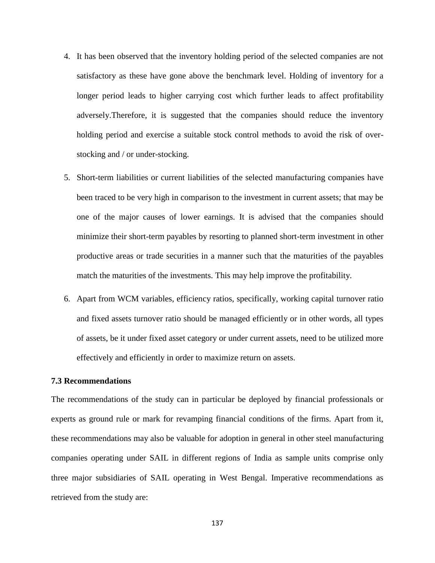- 4. It has been observed that the inventory holding period of the selected companies are not satisfactory as these have gone above the benchmark level. Holding of inventory for a longer period leads to higher carrying cost which further leads to affect profitability adversely.Therefore, it is suggested that the companies should reduce the inventory holding period and exercise a suitable stock control methods to avoid the risk of overstocking and / or under-stocking.
- 5. Short-term liabilities or current liabilities of the selected manufacturing companies have been traced to be very high in comparison to the investment in current assets; that may be one of the major causes of lower earnings. It is advised that the companies should minimize their short-term payables by resorting to planned short-term investment in other productive areas or trade securities in a manner such that the maturities of the payables match the maturities of the investments. This may help improve the profitability.
- 6. Apart from WCM variables, efficiency ratios, specifically, working capital turnover ratio and fixed assets turnover ratio should be managed efficiently or in other words, all types of assets, be it under fixed asset category or under current assets, need to be utilized more effectively and efficiently in order to maximize return on assets.

# **7.3 Recommendations**

The recommendations of the study can in particular be deployed by financial professionals or experts as ground rule or mark for revamping financial conditions of the firms. Apart from it, these recommendations may also be valuable for adoption in general in other steel manufacturing companies operating under SAIL in different regions of India as sample units comprise only three major subsidiaries of SAIL operating in West Bengal. Imperative recommendations as retrieved from the study are: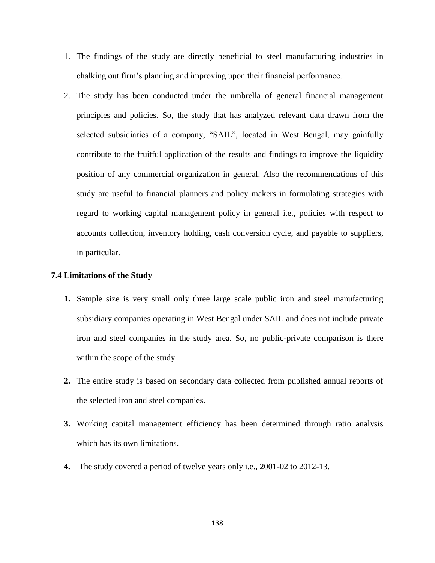- 1. The findings of the study are directly beneficial to steel manufacturing industries in chalking out firm's planning and improving upon their financial performance.
- 2. The study has been conducted under the umbrella of general financial management principles and policies. So, the study that has analyzed relevant data drawn from the selected subsidiaries of a company, "SAIL", located in West Bengal, may gainfully contribute to the fruitful application of the results and findings to improve the liquidity position of any commercial organization in general. Also the recommendations of this study are useful to financial planners and policy makers in formulating strategies with regard to working capital management policy in general i.e., policies with respect to accounts collection, inventory holding, cash conversion cycle, and payable to suppliers, in particular.

#### **7.4 Limitations of the Study**

- **1.** Sample size is very small only three large scale public iron and steel manufacturing subsidiary companies operating in West Bengal under SAIL and does not include private iron and steel companies in the study area. So, no public-private comparison is there within the scope of the study.
- **2.** The entire study is based on secondary data collected from published annual reports of the selected iron and steel companies.
- **3.** Working capital management efficiency has been determined through ratio analysis which has its own limitations.
- **4.** The study covered a period of twelve years only i.e., 2001-02 to 2012-13.